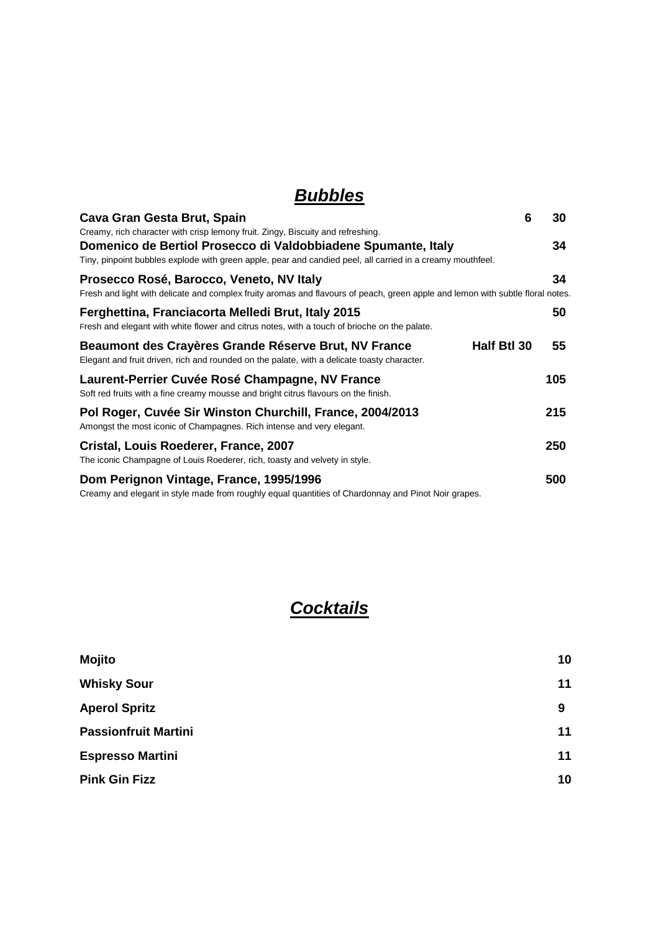### *Bubbles*

| Cava Gran Gesta Brut, Spain                                                                                                                                                                                                                                    | 6 | 30  |
|----------------------------------------------------------------------------------------------------------------------------------------------------------------------------------------------------------------------------------------------------------------|---|-----|
| Creamy, rich character with crisp lemony fruit. Zingy, Biscuity and refreshing.<br>Domenico de Bertiol Prosecco di Valdobbiadene Spumante, Italy<br>Tiny, pinpoint bubbles explode with green apple, pear and candied peel, all carried in a creamy mouthfeel. |   | 34  |
| Prosecco Rosé, Barocco, Veneto, NV Italy<br>Fresh and light with delicate and complex fruity aromas and flavours of peach, green apple and lemon with subtle floral notes.                                                                                     |   | 34  |
| Ferghettina, Franciacorta Melledi Brut, Italy 2015<br>Fresh and elegant with white flower and citrus notes, with a touch of brioche on the palate.                                                                                                             |   | 50  |
| Beaumont des Crayères Grande Réserve Brut, NV France<br>Half Btl 30<br>Elegant and fruit driven, rich and rounded on the palate, with a delicate toasty character.                                                                                             |   | 55  |
| Laurent-Perrier Cuvée Rosé Champagne, NV France<br>Soft red fruits with a fine creamy mousse and bright citrus flavours on the finish.                                                                                                                         |   | 105 |
| Pol Roger, Cuvée Sir Winston Churchill, France, 2004/2013<br>Amongst the most iconic of Champagnes. Rich intense and very elegant.                                                                                                                             |   | 215 |
| Cristal, Louis Roederer, France, 2007<br>The iconic Champagne of Louis Roederer, rich, toasty and velvety in style.                                                                                                                                            |   | 250 |
| Dom Perignon Vintage, France, 1995/1996<br>Creamy and elegant in style made from roughly equal quantities of Chardonnay and Pinot Noir grapes.                                                                                                                 |   | 500 |

## *Cocktails*

| Mojito                      | 10 |
|-----------------------------|----|
| <b>Whisky Sour</b>          | 11 |
| <b>Aperol Spritz</b>        | 9  |
| <b>Passionfruit Martini</b> | 11 |
| <b>Espresso Martini</b>     | 11 |
| <b>Pink Gin Fizz</b>        | 10 |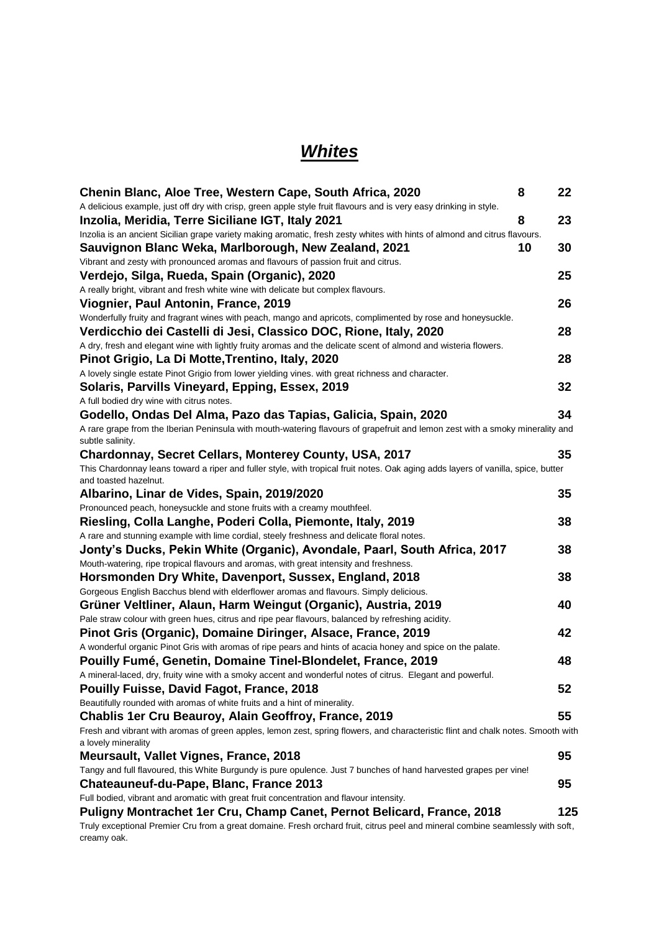### *Whites*

| Chenin Blanc, Aloe Tree, Western Cape, South Africa, 2020                                                                                                           | 8  | 22  |
|---------------------------------------------------------------------------------------------------------------------------------------------------------------------|----|-----|
| A delicious example, just off dry with crisp, green apple style fruit flavours and is very easy drinking in style.                                                  |    |     |
| Inzolia, Meridia, Terre Siciliane IGT, Italy 2021                                                                                                                   | 8  | 23  |
| Inzolia is an ancient Sicilian grape variety making aromatic, fresh zesty whites with hints of almond and citrus flavours.                                          |    |     |
| Sauvignon Blanc Weka, Marlborough, New Zealand, 2021                                                                                                                | 10 | 30  |
| Vibrant and zesty with pronounced aromas and flavours of passion fruit and citrus.                                                                                  |    |     |
| Verdejo, Silga, Rueda, Spain (Organic), 2020                                                                                                                        |    | 25  |
| A really bright, vibrant and fresh white wine with delicate but complex flavours.                                                                                   |    |     |
| Viognier, Paul Antonin, France, 2019                                                                                                                                |    | 26  |
| Wonderfully fruity and fragrant wines with peach, mango and apricots, complimented by rose and honeysuckle.                                                         |    |     |
| Verdicchio dei Castelli di Jesi, Classico DOC, Rione, Italy, 2020                                                                                                   |    | 28  |
| A dry, fresh and elegant wine with lightly fruity aromas and the delicate scent of almond and wisteria flowers.<br>Pinot Grigio, La Di Motte, Trentino, Italy, 2020 |    | 28  |
| A lovely single estate Pinot Grigio from lower yielding vines. with great richness and character.                                                                   |    |     |
| Solaris, Parvills Vineyard, Epping, Essex, 2019                                                                                                                     |    | 32  |
| A full bodied dry wine with citrus notes.                                                                                                                           |    |     |
| Godello, Ondas Del Alma, Pazo das Tapias, Galicia, Spain, 2020                                                                                                      |    | 34  |
| A rare grape from the Iberian Peninsula with mouth-watering flavours of grapefruit and lemon zest with a smoky minerality and                                       |    |     |
| subtle salinity.                                                                                                                                                    |    |     |
| Chardonnay, Secret Cellars, Monterey County, USA, 2017                                                                                                              |    | 35  |
| This Chardonnay leans toward a riper and fuller style, with tropical fruit notes. Oak aging adds layers of vanilla, spice, butter                                   |    |     |
| and toasted hazelnut.                                                                                                                                               |    |     |
| Albarino, Linar de Vides, Spain, 2019/2020                                                                                                                          |    | 35  |
| Pronounced peach, honeysuckle and stone fruits with a creamy mouthfeel.                                                                                             |    |     |
| Riesling, Colla Langhe, Poderi Colla, Piemonte, Italy, 2019                                                                                                         |    | 38  |
| A rare and stunning example with lime cordial, steely freshness and delicate floral notes.                                                                          |    |     |
| Jonty's Ducks, Pekin White (Organic), Avondale, Paarl, South Africa, 2017                                                                                           |    | 38  |
| Mouth-watering, ripe tropical flavours and aromas, with great intensity and freshness.<br>Horsmonden Dry White, Davenport, Sussex, England, 2018                    |    | 38  |
| Gorgeous English Bacchus blend with elderflower aromas and flavours. Simply delicious.                                                                              |    |     |
| Grüner Veltliner, Alaun, Harm Weingut (Organic), Austria, 2019                                                                                                      |    | 40  |
| Pale straw colour with green hues, citrus and ripe pear flavours, balanced by refreshing acidity.                                                                   |    |     |
| Pinot Gris (Organic), Domaine Diringer, Alsace, France, 2019                                                                                                        |    | 42  |
| A wonderful organic Pinot Gris with aromas of ripe pears and hints of acacia honey and spice on the palate.                                                         |    |     |
| Pouilly Fumé, Genetin, Domaine Tinel-Blondelet, France, 2019                                                                                                        |    | 48  |
| A mineral-laced, dry, fruity wine with a smoky accent and wonderful notes of citrus. Elegant and powerful.                                                          |    |     |
| <b>Pouilly Fuisse, David Fagot, France, 2018</b>                                                                                                                    |    | 52  |
| Beautifully rounded with aromas of white fruits and a hint of minerality.                                                                                           |    |     |
| <b>Chablis 1er Cru Beauroy, Alain Geoffroy, France, 2019</b>                                                                                                        |    | 55  |
| Fresh and vibrant with aromas of green apples, lemon zest, spring flowers, and characteristic flint and chalk notes. Smooth with                                    |    |     |
| a lovely minerality                                                                                                                                                 |    |     |
| Meursault, Vallet Vignes, France, 2018                                                                                                                              |    | 95  |
| Tangy and full flavoured, this White Burgundy is pure opulence. Just 7 bunches of hand harvested grapes per vine!                                                   |    |     |
| Chateauneuf-du-Pape, Blanc, France 2013                                                                                                                             |    | 95  |
| Full bodied, vibrant and aromatic with great fruit concentration and flavour intensity.                                                                             |    |     |
| Puligny Montrachet 1er Cru, Champ Canet, Pernot Belicard, France, 2018                                                                                              |    | 125 |
| Truly exceptional Premier Cru from a great domaine. Fresh orchard fruit, citrus peel and mineral combine seamlessly with soft,<br>creamy oak.                       |    |     |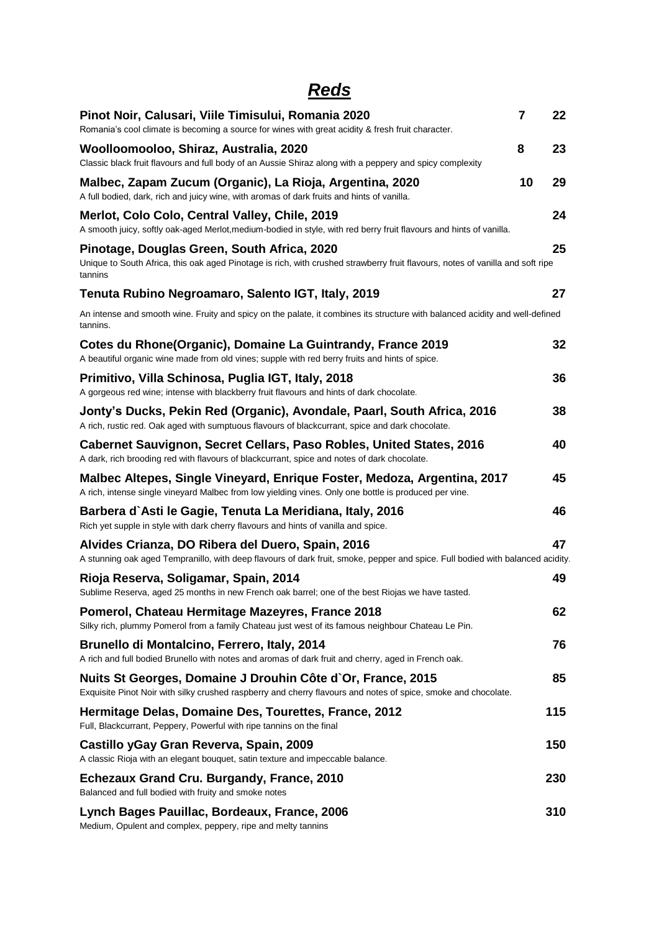# *Reds*

| Pinot Noir, Calusari, Viile Timisului, Romania 2020<br>Romania's cool climate is becoming a source for wines with great acidity & fresh fruit character.                                 | $\overline{7}$ | 22  |
|------------------------------------------------------------------------------------------------------------------------------------------------------------------------------------------|----------------|-----|
| Woolloomooloo, Shiraz, Australia, 2020<br>Classic black fruit flavours and full body of an Aussie Shiraz along with a peppery and spicy complexity                                       | 8              | 23  |
| Malbec, Zapam Zucum (Organic), La Rioja, Argentina, 2020<br>A full bodied, dark, rich and juicy wine, with aromas of dark fruits and hints of vanilla.                                   | 10             | 29  |
| Merlot, Colo Colo, Central Valley, Chile, 2019<br>A smooth juicy, softly oak-aged Merlot, medium-bodied in style, with red berry fruit flavours and hints of vanilla.                    |                | 24  |
| Pinotage, Douglas Green, South Africa, 2020<br>Unique to South Africa, this oak aged Pinotage is rich, with crushed strawberry fruit flavours, notes of vanilla and soft ripe<br>tannins |                | 25  |
| Tenuta Rubino Negroamaro, Salento IGT, Italy, 2019                                                                                                                                       |                | 27  |
| An intense and smooth wine. Fruity and spicy on the palate, it combines its structure with balanced acidity and well-defined<br>tannins.                                                 |                |     |
| Cotes du Rhone(Organic), Domaine La Guintrandy, France 2019<br>A beautiful organic wine made from old vines; supple with red berry fruits and hints of spice.                            |                | 32  |
| Primitivo, Villa Schinosa, Puglia IGT, Italy, 2018<br>A gorgeous red wine; intense with blackberry fruit flavours and hints of dark chocolate.                                           |                | 36  |
| Jonty's Ducks, Pekin Red (Organic), Avondale, Paarl, South Africa, 2016<br>A rich, rustic red. Oak aged with sumptuous flavours of blackcurrant, spice and dark chocolate.               |                | 38  |
| Cabernet Sauvignon, Secret Cellars, Paso Robles, United States, 2016<br>A dark, rich brooding red with flavours of blackcurrant, spice and notes of dark chocolate.                      |                | 40  |
| Malbec Altepes, Single Vineyard, Enrique Foster, Medoza, Argentina, 2017<br>A rich, intense single vineyard Malbec from low yielding vines. Only one bottle is produced per vine.        |                | 45  |
| Barbera d`Asti le Gagie, Tenuta La Meridiana, Italy, 2016<br>Rich yet supple in style with dark cherry flavours and hints of vanilla and spice.                                          |                | 46  |
| Alvides Crianza, DO Ribera del Duero, Spain, 2016<br>A stunning oak aged Tempranillo, with deep flavours of dark fruit, smoke, pepper and spice. Full bodied with balanced acidity.      |                | 47  |
| Rioja Reserva, Soligamar, Spain, 2014<br>Sublime Reserva, aged 25 months in new French oak barrel; one of the best Riojas we have tasted.                                                |                | 49  |
| Pomerol, Chateau Hermitage Mazeyres, France 2018<br>Silky rich, plummy Pomerol from a family Chateau just west of its famous neighbour Chateau Le Pin.                                   |                | 62  |
| Brunello di Montalcino, Ferrero, Italy, 2014<br>A rich and full bodied Brunello with notes and aromas of dark fruit and cherry, aged in French oak.                                      |                | 76  |
| Nuits St Georges, Domaine J Drouhin Côte d'Or, France, 2015<br>Exquisite Pinot Noir with silky crushed raspberry and cherry flavours and notes of spice, smoke and chocolate.            |                | 85  |
| Hermitage Delas, Domaine Des, Tourettes, France, 2012<br>Full, Blackcurrant, Peppery, Powerful with ripe tannins on the final                                                            |                | 115 |
| Castillo yGay Gran Reverva, Spain, 2009<br>A classic Rioja with an elegant bouquet, satin texture and impeccable balance.                                                                |                | 150 |
| Echezaux Grand Cru. Burgandy, France, 2010<br>Balanced and full bodied with fruity and smoke notes                                                                                       |                | 230 |
| Lynch Bages Pauillac, Bordeaux, France, 2006<br>Medium, Opulent and complex, peppery, ripe and melty tannins                                                                             |                | 310 |